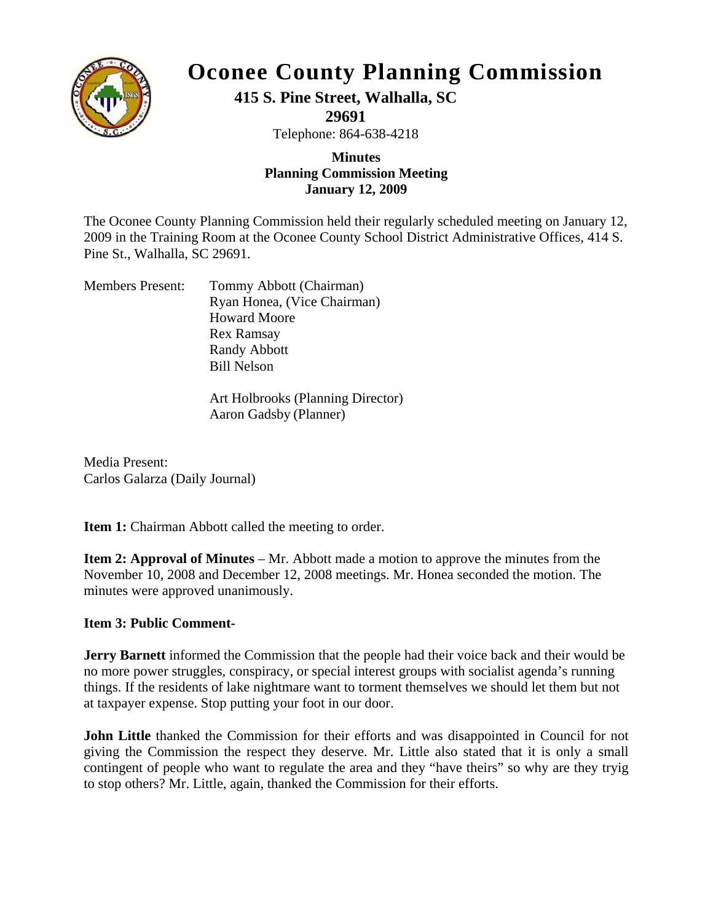

## **Oconee County Planning Commission**

**415 S. Pine Street, Walhalla, SC** 

**29691** 

Telephone: 864-638-4218

## **Planning Commis sion Meeting Minutes January 12, 2009**

2009 in the Training Room at the Oconee County School District Administrative Offices, 414 S. The Oconee County Planning Commission held their regularly scheduled meeting on January 12, Pine St., Walhalla, SC 29691.

| <b>Members Present:</b> | Tommy Abbott (Chairman)     |
|-------------------------|-----------------------------|
|                         | Ryan Honea, (Vice Chairman) |
|                         | <b>Howard Moore</b>         |
|                         | <b>Rex Ramsay</b>           |
|                         | <b>Randy Abbott</b>         |
|                         | <b>Bill Nelson</b>          |
|                         |                             |

Art Holbrooks (Planning Director) Aaron Gadsby (Planner)

Carlos Galarza (Daily Journal) Media Present:

**Item 1:** Chairman Abbott called the meeting to order.

November 10, 2008 and December 12, 2008 meetings. Mr. Honea seconded the motion. The minutes were approved unanimously. **Item 2: Approval of Minutes** – Mr. Abbott made a motion to approve the minutes from the

## **Item 3: Public Comment-**

**Jerry Barnett** informed the Commission that the people had their voice back and their would be no more power struggles, conspiracy, or special interest groups with socialist agenda's running things. If the residents of lake nightmare want to torment themselves we should let them but not at taxpayer expense. Stop putting your foot in our door.

contingent of people who want to regulate the area and they "have theirs" so why are they tryig **John Little** thanked the Commission for their efforts and was disappointed in Council for not giving the Commission the respect they deserve. Mr. Little also stated that it is only a small to stop others? Mr. Little, again, thanked the Commission for their efforts.